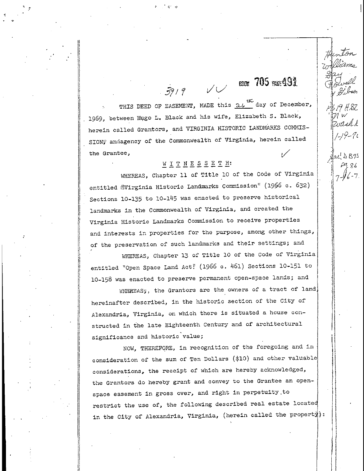# $\sim$  600  $705$  war 491

3 19 H 8Z

zoach k

 $1 - 19 - 70$ 

HIS DEED OF EASEMENT, MADE this 24 the day of December, 1969, between Hugo L. Black and his wife, Elizabeth S. Black, herein called Grantors, and VIRGINIA HISTORIC LANDMARKS COMMIS-SION' andagency of the Commonwealth of Virginia, herein called the Grantee,

 $39/9$ 

#### WITNESSETH:

WHEREAS, Chapter 11 of Title 10 of the Code of Virginia entitled @Virginia Historic Landmarks Commission" (1966 c. 632) Sections 10-135 to 10-145 was enacted to preserve historical landmarks in the Commonwealth of Virginia, and created the Virginia Historic Landmarks Commission to receive properties and Interests In properties for the purpose, among other things, of the preservation of such landmarks and their settings; and

WHEREAS, Chapter 13 of Title 10 of the Code of Virginia entitled "Open Space Land Act? (1966 c. 46l) Sections 10-151 to 10-158 was enacted, to preserve permanent open-space lands; and

WHEREAS;, the Grantors are the owners of a tract of land. hereinafter described, in the historic section of the City of Alexandria, Virginia, on which there is situated a house constructed in the late Eighteenth Century and of architectural significance and historic value;

NOW, THEREFORE, in recognition of the foregoing and in consideration of the sum of Ten Dollars (\$10) and other valuable considerations, the receipt of which are hereby acknowledged, the Grantors do hereby grant and convey to the Grantee an openspace easement in gross over, and right in perpetuity .to restrict the use of, the following described real estate located in the City of Alexandria, Virginia, (herein called the property):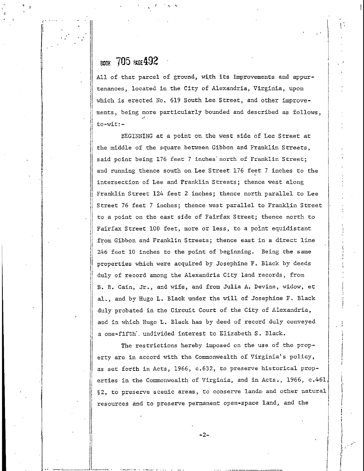#### BOOK 705 PAGE 492

All of that parcel of ground, with its improvements and appurtenances, located in the City of Alexandria, Virginia, upon which is erected No. 619 South Lee Street, and other improvements-, being more particularly bounded and described as follows, ,i to-wit:-

BEGINNING at a point on the west side of Lee Street at the middle of the square between Gibbon and Franklin Streets, said point being 176 feet 7 inches' north of Franklin Street; and running thence south on Lee Street 176 feet 7 Inches to the intersection of Lee and Franklin Streets; thence west along Franklin Street 124 feet 2 Inches; thence north parallel to Lee Street 76 feet 7 inches; thence west parallel to Franklin Street to a point on the east side of Fairfax Street; thence north to Fairfax Street 100 feet, more or less, to a point equidistant from Gibbon and Franklin Streets; thence east in a direct line 246 feet 10 inches to the point of beginning. Being the same properties which were acquired by Josephine F, Black by deeds duly of record among the Alexandria City land records, from B. B. Cain, Jr., and wife, and from Julia A. Devine, widow, et al., and by Hugo L. Black under the will of Josephine F. Black duly probated in the Circuit Court of the City of Alexandria, and In which Hugo L. Black has by deed of record duly conveyed a one-fifth', undivided Interest to Elizabeth S. Black.

The restrictions hereby imposed on the use of the property are in accord with the Commonwealth of Virginia's policy, as set forth In Acts, 1966, c.632, to preserve historical properties in the Commonwealth of Virginia, and in Acts., 1966, c.461, §2, to preserve scenic areas, to conserve lands and other natural resources and to preserve permanent open-space land, and the

-2-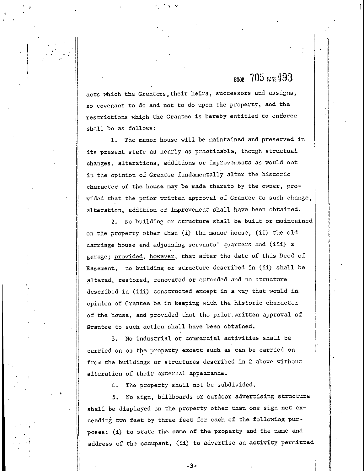### $B<sub>BOM</sub>$  705  $RSE493$

acts which the Grantors, their heirs, successors and assigns, so covenant to do and not to do upon the property, and the restrictions which the Grantee is hereby entitled to enforce shall be as follows:

1. The manor house will be maintained and preserved in its present state as nearly as practicable, though structual changes, alterations, additions or improvements as would not in the opinion of Grantee fundamentally alter the historic character of the house may be made thereto by the owner, provided that the prior written approval of Grantee to such change, alteration, addition or improvement shall have been obtained,

2. No building or structure shall be built or maintained on the property other than (i) the manor house, (ii) the old carriage house and adjoining servants' quarters and (iii) a garage; provided, however, that after the date of this Deed of Easement, no building or structure described in (ii) shall be altered, restored, renovated or extended and no structure described in (iii) constructed except in a vay that would in opinion of Grantee be in keeping with the historic character of the house, and provided that the prior.written approval of Grantee to such action shall have been obtained,

3. No industrial or commercial activities shall be carried on on the property except such as can be carried on from the buildings or structures described in 2 above without alteration of their external appearance,

4. The property shall not be subdivided.

5. No sign, billboards or outdoor advertising structure shall be displayed on the property other than one sign not exceeding two feet by three feet for each of the following purposes; (i) to state the name of the property and the name and address of the occupant, (ii) to advertise an activity permitted

-3-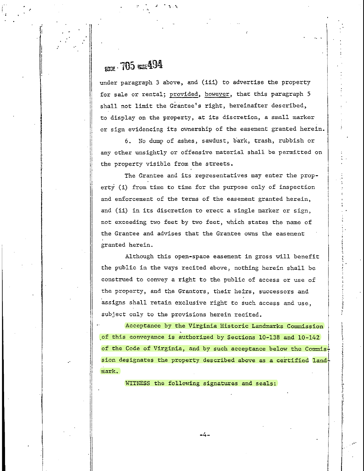## $_{\text{BDW}}$  . 705 wife494

under paragraph 3 above, and (iii) to advertise the property for sale or rental; provided, however, that this paragraph 5 shall not limit the Grantee's right, hereinafter described, to display on the property, at its discretion, a small marker or sign evidencing its ownership of the easement granted herein.

6. No dump of ashes, sawdust, bark, trash, rubbish or any other unsightly or offensive material shall be permitted on the property visible from the streets.

The Grantee and its representatives may enter the property (i) from time to time for the purpose only of inspection and enforcement of the terms of the easement granted herein, and (ii) in its discretion to erect a single marker or sign, not exceeding two feet by two feet, which states the name of the Grantee and advises that the Grantee owns the easement granted herein.

Although this open-space easement in gross will benefit the public in the ways recited above, nothing herein shall be construed to convey a right to the public of access or use of the property, and the Grantors, their heirs, successors and assigns shall retain exclusive right to such access and use, subject only to the provisions herein recited.

Acceptance by the Virginia Historic Landmarks Commission \_of this conveyance is authorized by Sections 10-138 and 10-142 of the Code of Virginia, and by such acceptance below the Commis $\frac{1}{1}$ sion designates the property described above as a certified landmark.

WITNESS the following signatures and seals:

-4-